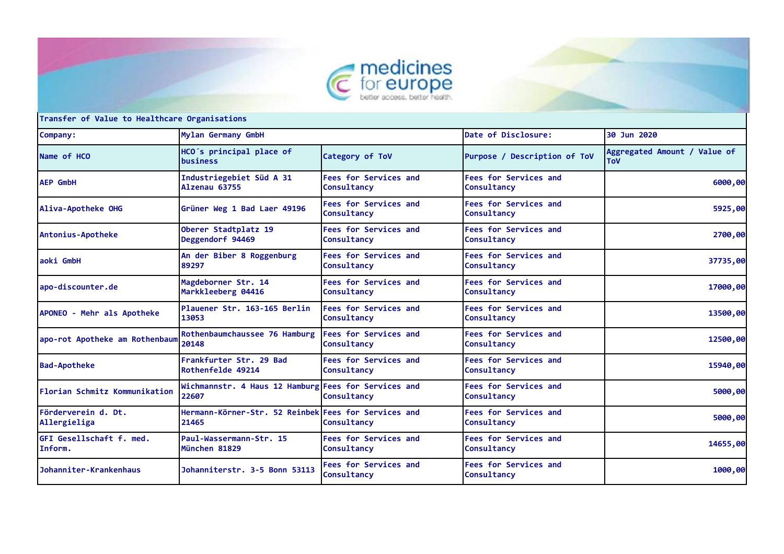



**Company: Mylan Germany GmbH Date of Disclosure: 30 Jun 2020 Name of HCO HCO´s principal place of Category of ToV Purpose** / Description of ToV **Aggregated Amount** / Value of **ToV AEP GmbH Industriegebiet Süd A 31 Alzenau 63755 Fees for Services and Consultancy Fees for Services and Consultancy 6000,00**<br> **Consultancy Aliva-Apotheke OHG Grüner Weg 1 Bad Laer 49196 Fees for Services and Consultancy Fees for Services and Consultancy 5925,00 Antonius-Apotheke Oberer Stadtplatz 19 Deggendorf 94469 Fees for Services and Consultancy Fees for Services and Consultancy 2700,00**<br> **Consultancy aoki GmbH An der Biber 8 Roggenburg 89297 Fees for Services and Consultancy Fees for Services and Consultancy 37735,00 apo-discounter.de Magdeborner Str. 14 Markkleeberg 04416 Fees for Services and Consultancy Fees for Services and Consultancy 17000,00**<br> **Consultancy APONEO - Mehr als Apotheke Plauener Str. 163-165 Berlin 13053 Fees for Services and Consultancy Fees for Services and Consultancy 13500,00 apo-rot Apotheke am Rothenbaum Rothenbaumchaussee 76 Hamburg 20148 Fees for Services and Consultancy Fees for Services and Consultancy 12500,00**<br> **Consultancy Bad-Apotheke Frankfurter Str. 29 Bad Rothenfelde 49214 Fees for Services and Consultancy Fees for Services and Consultancy 15940,00 Florian Schmitz Kommunikation 22607** Wichmannstr. 4 Haus 12 Hamburg Fees for Services and **Consultancy Fees for Services and Consultancy 5000,00 Förderverein d. Dt. Allergieliga Hermann-Körner-Str. 52 Reinbek Fees for Services and 21465 Consultancy Fees for Services and Consultancy 5000,00 GFI Gesellschaft f. med. Inform. Paul-Wassermann-Str. 15 München 81829 Fees for Services and Consultancy Fees for Services and Consultancy 14655,00 Johanniter-Krankenhaus Johanniterstr. 3-5 Bonn 53113 Fees for Services and Consultancy Fees for Services and Consultancy 1000,00**

**Transfer of Value to Healthcare Organisations**